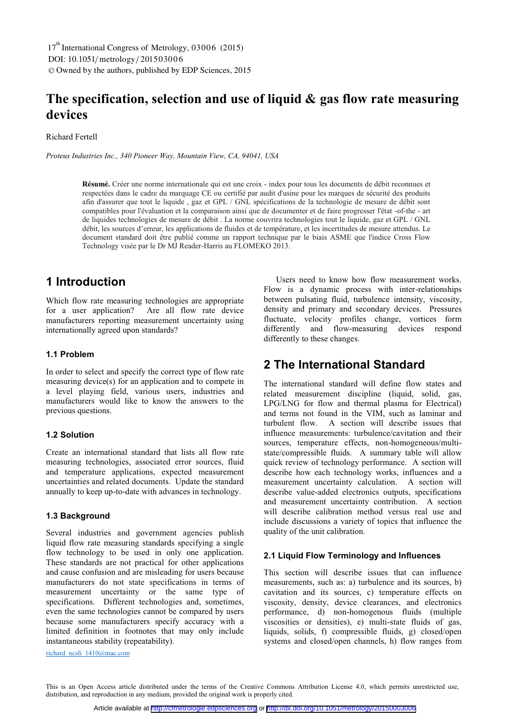# **The specification, selection and use of liquid & gas flow rate measuring devices**

Richard Fertell

*Proteus Industries Inc., 340 Pioneer Way, Mountain View, CA, 94041, USA* 

**Résumé.** Créer une norme internationale qui est une croix - index pour tous les documents de débit reconnues et respectées dans le cadre du marquage CE ou certifié par audit d'usine pour les marques de sécurité des produits afin d'assurer que tout le liquide , gaz et GPL / GNL spécifications de la technologie de mesure de débit sont compatibles pour l'évaluation et la comparaison ainsi que de documenter et de faire progresser l'état -of-the - art de liquides technologies de mesure de débit . La norme couvrira technologies tout le liquide, gaz et GPL / GNL débit, les sources d'erreur, les applications de fluides et de température, et les incertitudes de mesure attendus. Le document standard doit être publié comme un rapport technique par le biais ASME que l'indice Cross Flow Technology visée par le Dr MJ Reader-Harris au FLOMEKO 2013.

# **1 Introduction**

Which flow rate measuring technologies are appropriate for a user application? Are all flow rate device manufacturers reporting measurement uncertainty using internationally agreed upon standards?

#### **1.1 Problem**

In order to select and specify the correct type of flow rate measuring device(s) for an application and to compete in a level playing field, various users, industries and manufacturers would like to know the answers to the previous questions.

#### **1.2 Solution**

Create an international standard that lists all flow rate measuring technologies, associated error sources, fluid and temperature applications, expected measurement uncertainties and related documents. Update the standard annually to keep up-to-date with advances in technology.

#### **1.3 Background**

Several industries and government agencies publish liquid flow rate measuring standards specifying a single flow technology to be used in only one application. These standards are not practical for other applications and cause confusion and are misleading for users because manufacturers do not state specifications in terms of measurement uncertainty or the same type of specifications. Different technologies and, sometimes, even the same technologies cannot be compared by users because some manufacturers specify accuracy with a limited definition in footnotes that may only include instantaneous stability (repeatability).

Users need to know how flow measurement works. Flow is a dynamic process with inter-relationships between pulsating fluid, turbulence intensity, viscosity, density and primary and secondary devices. Pressures fluctuate, velocity profiles change, vortices form differently and flow-measuring devices respond differently to these changes.

# **2 The International Standard**

The international standard will define flow states and related measurement discipline (liquid, solid, gas, LPG/LNG for flow and thermal plasma for Electrical) and terms not found in the VIM, such as laminar and turbulent flow. A section will describe issues that A section will describe issues that influence measurements: turbulence/cavitation and their sources, temperature effects, non-homogeneous/multistate/compressible fluids. A summary table will allow quick review of technology performance. A section will describe how each technology works, influences and a measurement uncertainty calculation. A section will describe value-added electronics outputs, specifications and measurement uncertainty contribution. A section will describe calibration method versus real use and include discussions a variety of topics that influence the quality of the unit calibration.

#### **2.1 Liquid Flow Terminology and Influences**

This section will describe issues that can influence measurements, such as: a) turbulence and its sources, b) cavitation and its sources, c) temperature effects on viscosity, density, device clearances, and electronics performance, d) non-homogenous fluids (multiple viscosities or densities), e) multi-state fluids of gas, liquids, solids, f) compressible fluids, g) closed/open systems and closed/open channels, h) flow ranges from

richard\_ncsli\_1410@mac.com

This is an Open Access article distributed under the terms of the Creative Commons Attribution License 4.0, which permits unrestricted use, distribution, and reproduction in any medium, provided the original work is properly cited.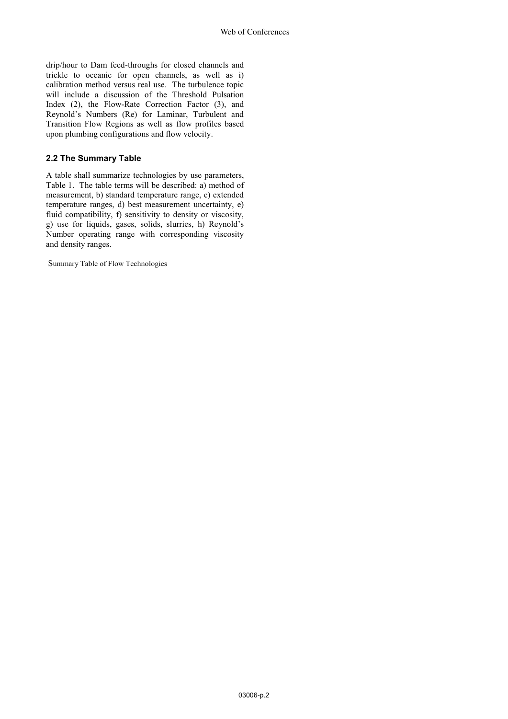drip/hour to Dam feed-throughs for closed channels and trickle to oceanic for open channels, as well as i) calibration method versus real use. The turbulence topic will include a discussion of the Threshold Pulsation Index (2), the Flow-Rate Correction Factor (3), and Reynold's Numbers (Re) for Laminar, Turbulent and Transition Flow Regions as well as flow profiles based upon plumbing configurations and flow velocity.

### **2.2 The Summary Table**

A table shall summarize technologies by use parameters, Table 1. The table terms will be described: a) method of measurement, b) standard temperature range, c) extended temperature ranges, d) best measurement uncertainty, e) fluid compatibility, f) sensitivity to density or viscosity, g) use for liquids, gases, solids, slurries, h) Reynold's Number operating range with corresponding viscosity and density ranges.

Summary Table of Flow Technologies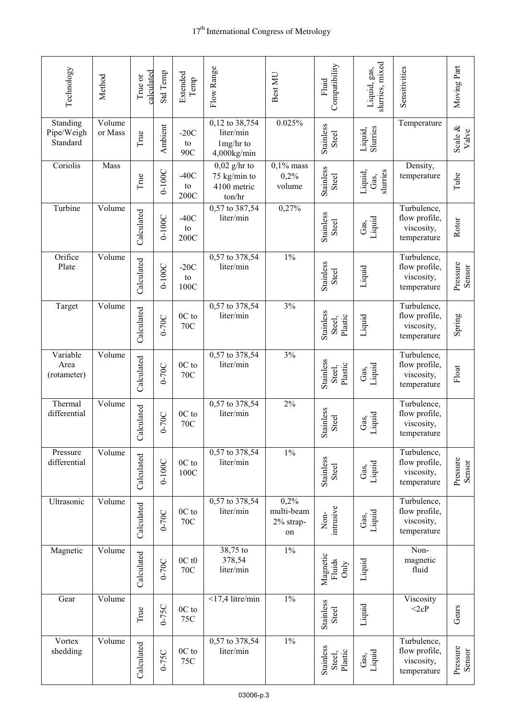| Technology                         | Method            | calculated<br>True or | <b>Std Temp</b> | Extended<br>Temp        | Flow Range                                              | Best MU                               | Compatibility<br>Fluid            | slurries, mixed<br>Liquid, gas, | Sensitivities                                             | Moving Part         |
|------------------------------------|-------------------|-----------------------|-----------------|-------------------------|---------------------------------------------------------|---------------------------------------|-----------------------------------|---------------------------------|-----------------------------------------------------------|---------------------|
| Standing<br>Pipe/Weigh<br>Standard | Volume<br>or Mass | True                  | Ambient         | $-20C$<br>to<br>90C     | 0,12 to 38,754<br>liter/min<br>1mg/hr to<br>4,000kg/min | 0.025%                                | Stainless<br>Steel                | Slurries<br>Liquid,             | Temperature                                               | Scale $\&$<br>Valve |
| Coriolis                           | Mass              | True                  | $0-100C$        | $-40C$<br>to<br>200C    | $0,02$ g/hr to<br>75 kg/min to<br>4100 metric<br>ton/hr | $0,1\%$ mass<br>0,2%<br>volume        | Stainless<br>Steel                | Liquid,<br>slurries<br>Gas,     | Density,<br>temperature                                   | Tube                |
| Turbine                            | Volume            | Calculated            | $0-100C$        | $-40C$<br>to<br>200C    | $\overline{0,57}$ to 387,54<br>liter/min                | 0,27%                                 | Stainless<br>Steel                | Gas,<br>Liquid                  | Turbulence,<br>flow profile,<br>viscosity,<br>temperature | Rotor               |
| Orifice<br>Plate                   | Volume            | Calculated            | $0-100C$        | $-20C$<br>to<br>100C    | 0,57 to 378,54<br>liter/min                             | $1\%$                                 | Stainless<br>Steel                | Liquid                          | Turbulence,<br>flow profile,<br>viscosity,<br>temperature | Pressure<br>Sensor  |
| Target                             | Volume            | Calculated            | $0-70C$         | 0C to<br>70C            | 0,57 to 378,54<br>liter/min                             | 3%                                    | Stainless<br>Plastic<br>Steel,    | Liquid                          | Turbulence,<br>flow profile,<br>viscosity,<br>temperature | Spring              |
| Variable<br>Area<br>(rotameter)    | Volume            | Calculated            | $0-70C$         | 0C to<br>70C            | 0,57 to 378,54<br>liter/min                             | 3%                                    | Stainless<br>Plastic<br>Steel,    | Gas,<br>Liquid                  | Turbulence,<br>flow profile,<br>viscosity,<br>temperature | $_{\rm Float}$      |
| Thermal<br>differential            | Volume            | Calculated            | $0-70C$         | 0C to<br>70C            | 0,57 to 378,54<br>liter/min                             | 2%                                    | Stainless<br>Steel                | Liquid<br>Gas,                  | Turbulence,<br>flow profile,<br>viscosity,<br>temperature |                     |
| Pressure<br>differential           | Volume            | Calculated            | $0-100C$        | 0C to<br>100C           | 0,57 to 378,54<br>liter/min                             | $1\%$                                 | Stainless<br>Steel                | Gas,<br>Liquid                  | Turbulence,<br>flow profile,<br>viscosity,<br>temperature | Pressure<br>Sensor  |
| Ultrasonic                         | Volume            | Calculated            | $0-70C$         | 0C to<br><b>70C</b>     | 0,57 to 378,54<br>liter/min                             | 0,2%<br>multi-beam<br>2% strap-<br>on | intrusive<br>$Non-$               | Gas,<br>Liquid                  | Turbulence,<br>flow profile,<br>viscosity,<br>temperature |                     |
| Magnetic                           | Volume            | Calculated            | $0-70C$         | 0Ct0<br><b>70C</b>      | 38,75 to<br>378,54<br>liter/min                         | $1\%$                                 | Magnetic<br>Fluids<br>$\rm{Only}$ | Liquid                          | Non-<br>magnetic<br>fluid                                 |                     |
| Gear                               | Volume            | True                  | $0-75C$         | $0\mathrm{C}$ to<br>75C | $<$ 17,4 litre/min                                      | $1\%$                                 | Stainless<br>Steel                | Liquid                          | Viscosity<br><2cP                                         | Gears               |
| Vortex<br>shedding                 | Volume            | Calculated            | $0-75C$         | 0C to<br>75C            | 0,57 to 378,54<br>liter/min                             | $1\%$                                 | Stainless<br>Plastic<br>Steel,    | Gas,<br>Liquid                  | Turbulence,<br>flow profile,<br>viscosity,<br>temperature | Pressure<br>Sensor  |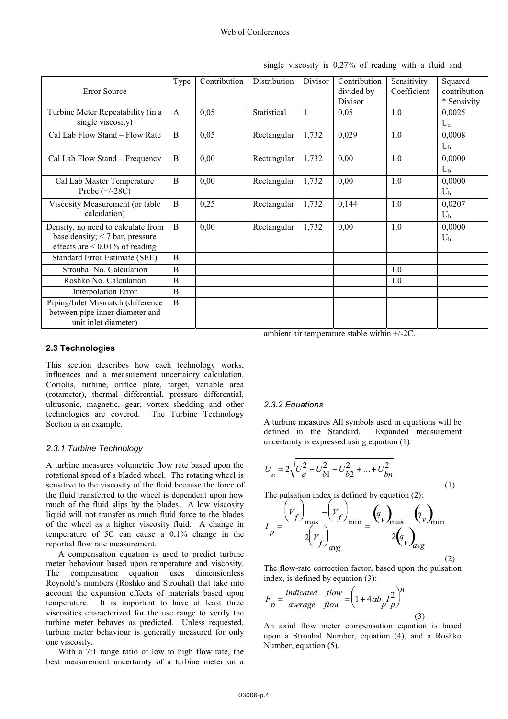|                                      | Type         | Contribution | <b>Distribution</b> | Divisor | Contribution | Sensitivity | Squared        |
|--------------------------------------|--------------|--------------|---------------------|---------|--------------|-------------|----------------|
| Error Source                         |              |              |                     |         | divided by   | Coefficient | contribution   |
|                                      |              |              |                     |         | Divisor      |             | * Sensivity    |
| Turbine Meter Repeatability (in a    | $\mathsf{A}$ | 0,05         | Statistical         | 1       | 0,05         | 1.0         | 0,0025         |
| single viscosity)                    |              |              |                     |         |              |             | $U_a$          |
| Cal Lab Flow Stand - Flow Rate       | B            | 0,05         | Rectangular         | 1,732   | 0,029        | 1.0         | 0,0008         |
|                                      |              |              |                     |         |              |             | $U_{b}$        |
| Cal Lab Flow Stand – Frequency       | B            | 0,00         | Rectangular         | 1,732   | 0,00         | 1.0         | 0,0000         |
|                                      |              |              |                     |         |              |             | U <sub>b</sub> |
| Cal Lab Master Temperature           | B            | 0,00         | Rectangular         | 1,732   | 0,00         | 1.0         | 0,0000         |
| Probe $(+/-28C)$                     |              |              |                     |         |              |             | $U_{b}$        |
| Viscosity Measurement (or table      | B            | 0,25         | Rectangular         | 1,732   | 0,144        | 1.0         | 0,0207         |
| calculation)                         |              |              |                     |         |              |             | $U_{b}$        |
| Density, no need to calculate from   | B            | 0,00         | Rectangular         | 1,732   | 0,00         | 1.0         | 0,0000         |
| base density; $<$ 7 bar, pressure    |              |              |                     |         |              |             | $U_{b}$        |
| effects are $< 0.01\%$ of reading    |              |              |                     |         |              |             |                |
| <b>Standard Error Estimate (SEE)</b> | B            |              |                     |         |              |             |                |
| Strouhal No. Calculation             | B            |              |                     |         |              | 1.0         |                |
| Roshko No. Calculation               | B            |              |                     |         |              | 1.0         |                |
| <b>Interpolation Error</b>           | B            |              |                     |         |              |             |                |
| Piping/Inlet Mismatch (difference    | B            |              |                     |         |              |             |                |
| between pipe inner diameter and      |              |              |                     |         |              |             |                |
| unit inlet diameter)                 |              |              |                     |         |              |             |                |

single viscosity is 0,27% of reading with a fluid and

#### **2.3 Technologies**

This section describes how each technology works, influences and a measurement uncertainty calculation. Coriolis, turbine, orifice plate, target, variable area (rotameter), thermal differential, pressure differential, ultrasonic, magnetic, gear, vortex shedding and other technologies are covered. The Turbine Technology Section is an example.

#### *2.3.1 Turbine Technology*

A turbine measures volumetric flow rate based upon the rotational speed of a bladed wheel. The rotating wheel is sensitive to the viscosity of the fluid because the force of the fluid transferred to the wheel is dependent upon how much of the fluid slips by the blades. A low viscosity liquid will not transfer as much fluid force to the blades of the wheel as a higher viscosity fluid. A change in temperature of 5C can cause a 0,1% change in the reported flow rate measurement.

A compensation equation is used to predict turbine meter behaviour based upon temperature and viscosity. The compensation equation uses dimensionless Reynold's numbers (Roshko and Strouhal) that take into account the expansion effects of materials based upon temperature. It is important to have at least three viscosities characterized for the use range to verify the turbine meter behaves as predicted. Unless requested, turbine meter behaviour is generally measured for only one viscosity.

With a 7:1 range ratio of low to high flow rate, the best measurement uncertainty of a turbine meter on a

ambient air temperature stable within +/-2C.

#### *2.3.2 Equations*

A turbine measures All symbols used in equations will be defined in the Standard. Expanded measurement uncertainty is expressed using equation (1):

$$
U_e = 2\sqrt{U_a^2 + U_{b1}^2 + U_{b2}^2 + \dots + U_{bn}^2}
$$
 (1)

The pulsation index is defined by equation (2):

$$
I_{p} = \frac{\left(\overline{V_{f}}\right)_{\text{max}} - \left(\overline{V_{f}}\right)_{\text{min}}}{2\left(\overline{V_{f}}\right)_{\text{avg}}} = \frac{\left(q_{v}\right)_{\text{max}} - \left(q_{v}\right)_{\text{min}}}{2\left(q_{v}\right)_{\text{avg}}}
$$

 $\overline{z}$  (2) The flow-rate correction factor, based upon the pulsation index, is defined by equation (3):

$$
F_p = \frac{indicated_f flow}{average_f flow} = \left(1 + 4\alpha b_f^2\right)^n
$$
\n(3)

An axial flow meter compensation equation is based upon a Strouhal Number, equation (4), and a Roshko Number, equation (5).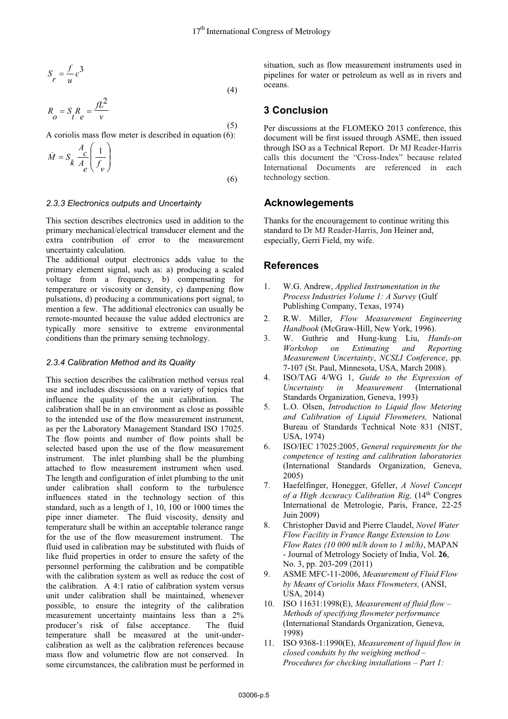$$
S_r = \frac{f}{u}c^3\tag{4}
$$

$$
R_o = S_R e = \frac{fL^2}{v}
$$
\n(5)

A coriolis mass flow meter is described in equation (6):

$$
\dot{M} = S_k \frac{A_c}{A_e} \left( \frac{1}{f_v} \right)
$$
\n(6)

#### *2.3.3 Electronics outputs and Uncertainty*

This section describes electronics used in addition to the primary mechanical/electrical transducer element and the extra contribution of error to the measurement uncertainty calculation.

The additional output electronics adds value to the primary element signal, such as: a) producing a scaled voltage from a frequency, b) compensating for temperature or viscosity or density, c) dampening flow pulsations, d) producing a communications port signal, to mention a few. The additional electronics can usually be remote-mounted because the value added electronics are typically more sensitive to extreme environmental conditions than the primary sensing technology.

#### *2.3.4 Calibration Method and its Quality*

This section describes the calibration method versus real use and includes discussions on a variety of topics that influence the quality of the unit calibration. The calibration shall be in an environment as close as possible to the intended use of the flow measurement instrument, as per the Laboratory Management Standard ISO 17025. The flow points and number of flow points shall be selected based upon the use of the flow measurement instrument. The inlet plumbing shall be the plumbing attached to flow measurement instrument when used. The length and configuration of inlet plumbing to the unit under calibration shall conform to the turbulence influences stated in the technology section of this standard, such as a length of 1, 10, 100 or 1000 times the pipe inner diameter. The fluid viscosity, density and temperature shall be within an acceptable tolerance range for the use of the flow measurement instrument. The fluid used in calibration may be substituted with fluids of like fluid properties in order to ensure the safety of the personnel performing the calibration and be compatible with the calibration system as well as reduce the cost of the calibration. A 4:1 ratio of calibration system versus unit under calibration shall be maintained, whenever possible, to ensure the integrity of the calibration measurement uncertainty maintains less than a 2% producer's risk of false acceptance. The fluid temperature shall be measured at the unit-undercalibration as well as the calibration references because mass flow and volumetric flow are not conserved. In some circumstances, the calibration must be performed in

situation, such as flow measurement instruments used in pipelines for water or petroleum as well as in rivers and oceans.

## **3 Conclusion**

Per discussions at the FLOMEKO 2013 conference, this document will be first issued through ASME, then issued through ISO as a Technical Report. Dr MJ Reader-Harris calls this document the "Cross-Index" because related International Documents are referenced in each technology section.

## **Acknowlegements**

Thanks for the encouragement to continue writing this standard to Dr MJ Reader-Harris, Jon Heiner and, especially, Gerri Field, my wife.

## **References**

- 1. W.G. Andrew, *Applied Instrumentation in the Process Industries Volume 1: A Survey* (Gulf Publishing Company, Texas, 1974)
- 2. R.W. Miller, *Flow Measurement Engineering Handbook* (McGraw-Hill, New York, 1996).
- 3. W. Guthrie and Hung-kung Liu, *Hands-on Workshop on Estimating and Reporting Measurement Uncertainty*, *NCSLI Conference*, pp. 7-107 (St. Paul, Minnesota, USA, March 2008).
- 4. ISO/TAG 4/WG 1, *Guide to the Expression of Uncertainty in Measurement* (International Standards Organization, Geneva, 1993)
- 5. L.O. Olsen, *Introduction to Liquid flow Metering and Calibration of Liquid Flowmeters,* National Bureau of Standards Technical Note 831 (NIST, USA, 1974)
- 6. ISO/IEC 17025:2005, *General requirements for the competence of testing and calibration laboratories* (International Standards Organization, Geneva, 2005)
- 7. Haefelfinger, Honegger, Gfeller, *A Novel Concept of a High Accuracy Calibration Rig,* (14th Congres International de Metrologie, Paris, France, 22-25 Juin 2009)
- 8. Christopher David and Pierre Claudel, *Novel Water Flow Facility in France Range Extension to Low Flow Rates (10 000 ml/h down to 1 ml/h)*, MAPAN - Journal of Metrology Society of India, Vol. **26**, No. 3, pp. 203-209 (2011)
- 9. ASME MFC-11-2006, *Measurement of Fluid Flow by Means of Coriolis Mass Flowmeters,* (ANSI, USA, 2014)
- 10. ISO 11631:1998(E), *Measurement of fluid flow Methods of specifying flowmeter performance* (International Standards Organization, Geneva, 1998)
- 11. ISO 9368-1:1990(E), *Measurement of liquid flow in closed conduits by the weighing method – Procedures for checking installations – Part 1:*